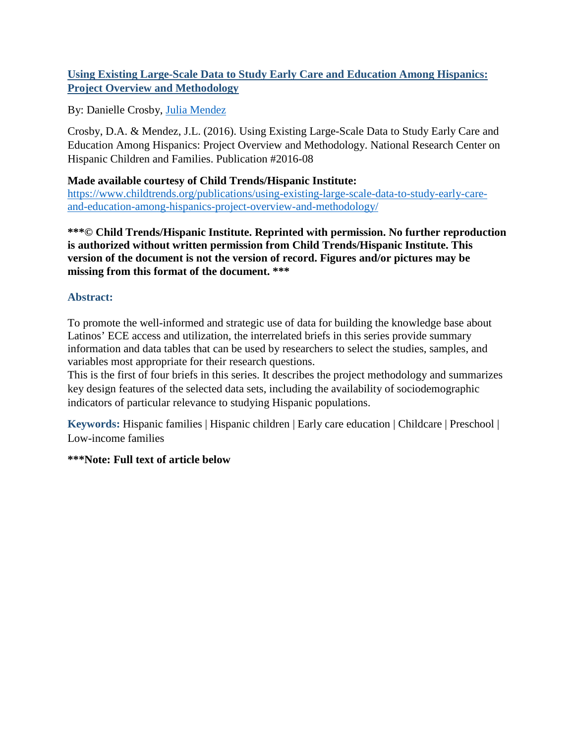## **Using Existing Large-Scale Data to Study Early Care and Education Among Hispanics: Project Overview and Methodology**

By: Danielle Crosby, [Julia Mendez](http://libres.uncg.edu/ir/uncg/clist.aspx?id=2862)

Crosby, D.A. & Mendez, J.L. (2016). Using Existing Large-Scale Data to Study Early Care and Education Among Hispanics: Project Overview and Methodology. National Research Center on Hispanic Children and Families. Publication #2016-08

## **Made available courtesy of Child Trends/Hispanic Institute:**

[https://www.childtrends.org/publications/using-existing-large-scale-data-to-study-early-care](https://www.childtrends.org/publications/using-existing-large-scale-data-to-study-early-care-and-education-among-hispanics-project-overview-and-methodology/)[and-education-among-hispanics-project-overview-and-methodology/](https://www.childtrends.org/publications/using-existing-large-scale-data-to-study-early-care-and-education-among-hispanics-project-overview-and-methodology/)

**\*\*\*© Child Trends/Hispanic Institute. Reprinted with permission. No further reproduction is authorized without written permission from Child Trends/Hispanic Institute. This version of the document is not the version of record. Figures and/or pictures may be missing from this format of the document. \*\*\***

## **Abstract:**

To promote the well-informed and strategic use of data for building the knowledge base about Latinos' ECE access and utilization, the interrelated briefs in this series provide summary information and data tables that can be used by researchers to select the studies, samples, and variables most appropriate for their research questions.

This is the first of four briefs in this series. It describes the project methodology and summarizes key design features of the selected data sets, including the availability of sociodemographic indicators of particular relevance to studying Hispanic populations.

**Keywords:** Hispanic families | Hispanic children | Early care education | Childcare | Preschool | Low-income families

## **\*\*\*Note: Full text of article below**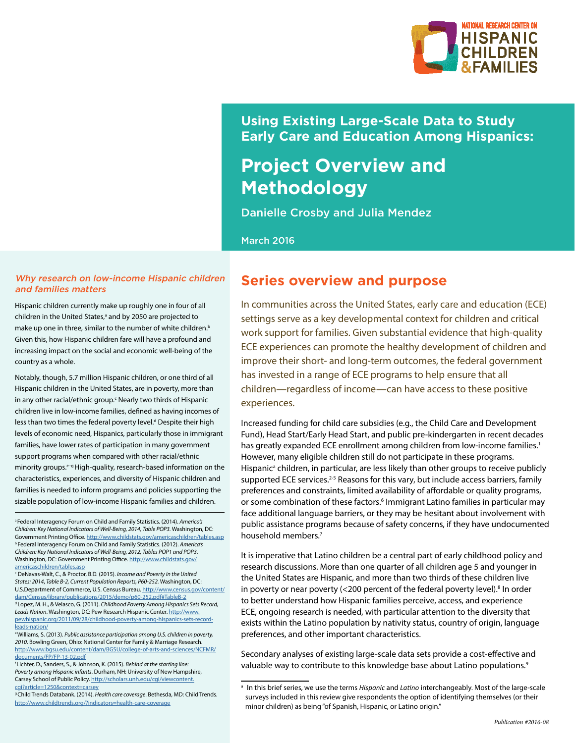

## **Using Existing Large-Scale Data to Study Early Care and Education Among Hispanics:**

# **Project Overview and Methodology**

Danielle Crosby and Julia Mendez

March 2016

#### Why research on low-income Hispanic children and families matters

Hispanic children currently make up roughly one in four of all children in the United States,<sup>a</sup> and by 2050 are projected to make up one in three, similar to the number of white children.<sup>b</sup> Given this, how Hispanic children fare will have a profound and increasing impact on the social and economic well-being of the country as a whole.

Notably, though, 5.7 million Hispanic children, or one third of all Hispanic children in the United States, are in poverty, more than in any other racial/ethnic group.<sup>c</sup> Nearly two thirds of Hispanic children live in low-income families, defined as having incomes of less than two times the federal poverty level.<sup>d</sup> Despite their high levels of economic need, Hispanics, particularly those in immigrant families, have lower rates of participation in many government support programs when compared with other racial/ethnic minority groups.<sup>e-g</sup> High-quality, research-based information on the characteristics, experiences, and diversity of Hispanic children and families is needed to inform programs and policies supporting the sizable population of low-income Hispanic families and children.

c DeNavas-Walt, C., & Proctor, B.D. (2015). *Income and Poverty in the United States: 2014*, *Table B-2, Current Population Reports, P60-252.* Washington, DC: U.S.Department of Commerce, U.S. Census Bureau. [http://www.census.gov/content/](http://www.census.gov/content/dam/Census/library/publications/2015/demo/p60-252.pdf#TableB-2) [dam/Census/library/publications/2015/demo/p60-252.pdf#TableB-2](http://www.census.gov/content/dam/Census/library/publications/2015/demo/p60-252.pdf#TableB-2) d Lopez, M. H., & Velasco, G. (2011). *Childhood Poverty Among Hispanics Sets Record, Leads Nation*. Washington, DC: Pew Research Hispanic Center. [http://www.](http://www.pewhispanic.org/2011/09/28/childhood-poverty-among-hispanics-sets-record-leads-nation/) [pewhispanic.org/2011/09/28/childhood-poverty-among-hispanics-sets-record](http://www.pewhispanic.org/2011/09/28/childhood-poverty-among-hispanics-sets-record-leads-nation/)[leads-nation/](http://www.pewhispanic.org/2011/09/28/childhood-poverty-among-hispanics-sets-record-leads-nation/)

e Williams, S. (2013). *Public assistance participation among U.S. children in poverty, 2010*. Bowling Green, Ohio: National Center for Family & Marriage Research. [http://www.bgsu.edu/content/dam/BGSU/college-of-arts-and-sciences/NCFMR/](http://www.bgsu.edu/content/dam/BGSU/college-of-arts-and-sciences/NCFMR/documents/FP/FP-13-02.pdf) [documents/FP/FP-13-02.pdf](http://www.bgsu.edu/content/dam/BGSU/college-of-arts-and-sciences/NCFMR/documents/FP/FP-13-02.pdf)

f Lichter, D., Sanders, S., & Johnson, K. (2015). *Behind at the starting line: Poverty among Hispanic infants*. Durham, NH: University of New Hampshire, Carsey School of Public Policy. [http://scholars.unh.edu/cgi/viewcontent.](http://scholars.unh.edu/cgi/viewcontent.cgi?article=1250&context=carsey) [cgi?article=1250&context=carsey](http://scholars.unh.edu/cgi/viewcontent.cgi?article=1250&context=carsey)

g Child Trends Databank. (2014). *Health care coverage*. Bethesda, MD: Child Trends. <http://www.childtrends.org/?indicators=health-care-coverage>

## **Series overview and purpose**

In communities across the United States, early care and education (ECE) settings serve as a key developmental context for children and critical work support for families. Given substantial evidence that high-quality ECE experiences can promote the healthy development of children and improve their short- and long-term outcomes, the federal government has invested in a range of ECE programs to help ensure that all children—regardless of income—can have access to these positive experiences.

Increased funding for child care subsidies (e.g., the Child Care and Development Fund), Head Start/Early Head Start, and public pre-kindergarten in recent decades has greatly expanded ECE enrollment among children from low-income families.<sup>1</sup> However, many eligible children still do not participate in these programs. Hispanic<sup>a</sup> children, in particular, are less likely than other groups to receive publicly supported ECE services.<sup>2-5</sup> Reasons for this vary, but include access barriers, family preferences and constraints, limited availability of affordable or quality programs, or some combination of these factors.<sup>6</sup> Immigrant Latino families in particular may face additional language barriers, or they may be hesitant about involvement with public assistance programs because of safety concerns, if they have undocumented household members.<sup>7</sup>

It is imperative that Latino children be a central part of early childhood policy and research discussions. More than one quarter of all children age 5 and younger in the United States are Hispanic, and more than two thirds of these children live in poverty or near poverty  $\left($  < 200 percent of the federal poverty level).<sup>8</sup> In order to better understand how Hispanic families perceive, access, and experience ECE, ongoing research is needed, with particular attention to the diversity that exists within the Latino population by nativity status, country of origin, language preferences, and other important characteristics.

Secondary analyses of existing large-scale data sets provide a cost-effective and valuable way to contribute to this knowledge base about Latino populations.<sup>9</sup>

a Federal Interagency Forum on Child and Family Statistics. (2014). *America's Children: Key National Indicators of Well-Being, 2014, Table POP3.* Washington, DC: Government Printing Office.<http://www.childstats.gov/americaschildren/tables.asp> b Federal Interagency Forum on Child and Family Statistics. (2012). *America's Children: Key National Indicators of Well-Being, 2012, Tables POP1 and POP3*. Washington, DC: Government Printing Office. [http://www.childstats.gov/](http://www.childstats.gov/americaschildren/tables.asp) [americaschildren/tables.asp](http://www.childstats.gov/americaschildren/tables.asp)

a In this brief series, we use the terms *Hispanic* and *Latino* interchangeably. Most of the large-scale surveys included in this review give respondents the option of identifying themselves (or their minor children) as being "of Spanish, Hispanic, or Latino origin."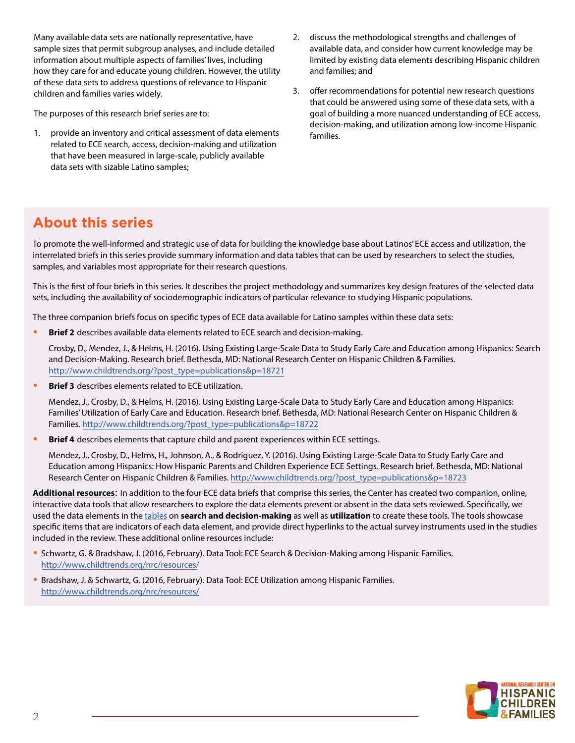Many available data sets are nationally representative, have sample sizes that permit subgroup analyses, and include detailed information about multiple aspects of families' lives, including how they care for and educate young children. However, the utility of these data sets to address questions of relevance to Hispanic children and families varies widely.

The purposes of this research brief series are to:

- 1. provide an inventory and critical assessment of data elements related to ECE search, access, decision-making and utilization that have been measured in large-scale, publicly available data sets with sizable Latino samples;
- 2. discuss the methodological strengths and challenges of available data, and consider how current knowledge may be limited by existing data elements describing Hispanic children and families; and
- 3. offer recommendations for potential new research questions that could be answered using some of these data sets, with a goal of building a more nuanced understanding of ECE access, decision-making, and utilization among low-income Hispanic families.

## **About this series**

To promote the well-informed and strategic use of data for building the knowledge base about Latinos' ECE access and utilization, the interrelated briefs in this series provide summary information and data tables that can be used by researchers to select the studies, samples, and variables most appropriate for their research questions.

This is the first of four briefs in this series. It describes the project methodology and summarizes key design features of the selected data sets, including the availability of sociodemographic indicators of particular relevance to studying Hispanic populations.

The three companion briefs focus on specific types of ECE data available for Latino samples within these data sets:

**• Brief 2** describes available data elements related to ECE search and decision-making.

Crosby, D., Mendez, J., & Helms, H. (2016). Using Existing Large-Scale Data to Study Early Care and Education among Hispanics: Search and Decision-Making. Research brief. Bethesda, MD: National Research Center on Hispanic Children & Families. [http://www.childtrends.org/?post\\_type=publications&p=18721](http://www.childtrends.org/?post_type=publications&p=18721)

**• Brief 3** describes elements related to ECE utilization.

Mendez, J., Crosby, D., & Helms, H. (2016). Using Existing Large-Scale Data to Study Early Care and Education among Hispanics: Families' Utilization of Early Care and Education. Research brief. Bethesda, MD: National Research Center on Hispanic Children & Families. [http://www.childtrends.org/?post\\_type=publications&p=18722](http://www.childtrends.org/?post_type=publications&p=18722)

**• Brief 4** describes elements that capture child and parent experiences within ECE settings.

Mendez, J., Crosby, D., Helms, H., Johnson, A., & Rodriguez, Y. (2016). Using Existing Large-Scale Data to Study Early Care and Education among Hispanics: How Hispanic Parents and Children Experience ECE Settings. Research brief. Bethesda, MD: National Research Center on Hispanic Children & Families. [http://www.childtrends.org/?post\\_type=publications&p=18723](http://www.childtrends.org/?post_type=publications&p=18723)

**Additional resources**: In addition to the four ECE data briefs that comprise this series, the Center has created two companion, online, interactive data tools that allow researchers to explore the data elements present or absent in the data sets reviewed. Specifically, we used the data elements in the [tables](#page-7-0) on **search and decision-making** as well as **utilization** to create these tools. The tools showcase specific items that are indicators of each data element, and provide direct hyperlinks to the actual survey instruments used in the studies included in the review. These additional online resources include:

- **•** Schwartz, G. & Bradshaw, J. (2016, February). Data Tool: ECE Search & Decision-Making among Hispanic Families. <http://www.childtrends.org/nrc/resources/>
- **•** Bradshaw, J. & Schwartz, G. (2016, February). Data Tool: ECE Utilization among Hispanic Families. <http://www.childtrends.org/nrc/resources/>

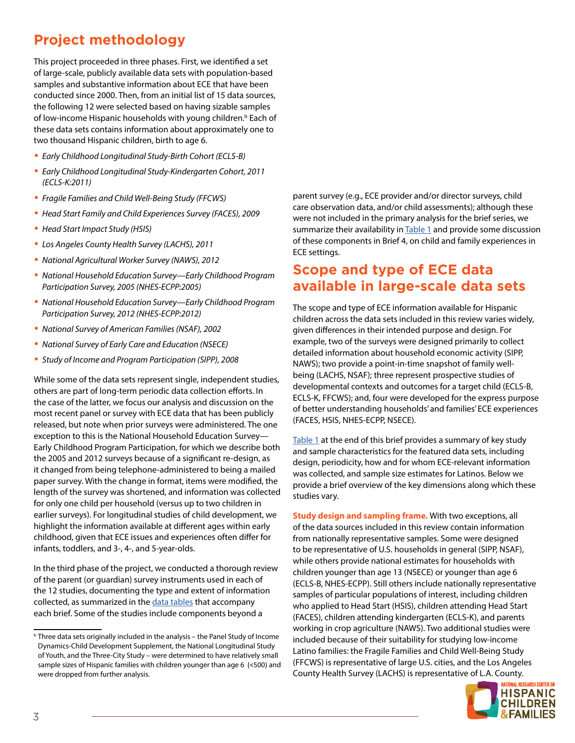## **Project methodology**

This project proceeded in three phases. First, we identified a set of large-scale, publicly available data sets with population-based samples and substantive information about ECE that have been conducted since 2000. Then, from an initial list of 15 data sources, the following 12 were selected based on having sizable samples of low-income Hispanic households with young children.<sup>b</sup> Each of these data sets contains information about approximately one to two thousand Hispanic children, birth to age 6.

- **•** *Early Childhood Longitudinal Study-Birth Cohort (ECLS-B)*
- **•** *Early Childhood Longitudinal Study-Kindergarten Cohort, 2011 (ECLS-K:2011)*
- **•** *Fragile Families and Child Well-Being Study (FFCWS)*
- **•** *Head Start Family and Child Experiences Survey (FACES), 2009*
- **•** *Head Start Impact Study (HSIS)*
- **•** *Los Angeles County Health Survey (LACHS), 2011*
- **•** *National Agricultural Worker Survey (NAWS), 2012*
- **•** *National Household Education Survey—Early Childhood Program Participation Survey, 2005 (NHES-ECPP:2005)*
- **•** *National Household Education Survey—Early Childhood Program Participation Survey, 2012 (NHES-ECPP:2012)*
- **•** *National Survey of American Families (NSAF), 2002*
- **•** *National Survey of Early Care and Education (NSECE)*
- **•** *Study of Income and Program Participation (SIPP), 2008*

While some of the data sets represent single, independent studies, others are part of long-term periodic data collection efforts. In the case of the latter, we focus our analysis and discussion on the most recent panel or survey with ECE data that has been publicly released, but note when prior surveys were administered. The one exception to this is the National Household Education Survey— Early Childhood Program Participation, for which we describe both the 2005 and 2012 surveys because of a significant re-design, as it changed from being telephone-administered to being a mailed paper survey. With the change in format, items were modified, the length of the survey was shortened, and information was collected for only one child per household (versus up to two children in earlier surveys). For longitudinal studies of child development, we highlight the information available at different ages within early childhood, given that ECE issues and experiences often differ for infants, toddlers, and 3-, 4-, and 5-year-olds.

In the third phase of the project, we conducted a thorough review of the parent (or guardian) survey instruments used in each of the 12 studies, documenting the type and extent of information collected, as summarized in the [data tables](#page-7-0) that accompany each brief. Some of the studies include components beyond a

parent survey (e.g., ECE provider and/or director surveys, child care observation data, and/or child assessments); although these were not included in the primary analysis for the brief series, we summarize their availability in [Table 1](#page-7-0) and provide some discussion of these components in Brief 4, on child and family experiences in ECE settings.

## **Scope and type of ECE data available in large-scale data sets**

The scope and type of ECE information available for Hispanic children across the data sets included in this review varies widely, given differences in their intended purpose and design. For example, two of the surveys were designed primarily to collect detailed information about household economic activity (SIPP, NAWS); two provide a point-in-time snapshot of family wellbeing (LACHS, NSAF); three represent prospective studies of developmental contexts and outcomes for a target child (ECLS-B, ECLS-K, FFCWS); and, four were developed for the express purpose of better understanding households' and families' ECE experiences (FACES, HSIS, NHES-ECPP, NSECE).

[Table 1](#page-7-0) at the end of this brief provides a summary of key study and sample characteristics for the featured data sets, including design, periodicity, how and for whom ECE-relevant information was collected, and sample size estimates for Latinos. Below we provide a brief overview of the key dimensions along which these studies vary.

**Study design and sampling frame.** With two exceptions, all of the data sources included in this review contain information from nationally representative samples. Some were designed to be representative of U.S. households in general (SIPP, NSAF), while others provide national estimates for households with children younger than age 13 (NSECE) or younger than age 6 (ECLS-B, NHES-ECPP). Still others include nationally representative samples of particular populations of interest, including children who applied to Head Start (HSIS), children attending Head Start (FACES), children attending kindergarten (ECLS-K), and parents working in crop agriculture (NAWS). Two additional studies were included because of their suitability for studying low-income Latino families: the Fragile Families and Child Well-Being Study (FFCWS) is representative of large U.S. cities, and the Los Angeles County Health Survey (LACHS) is representative of L.A. County.



<sup>b</sup> Three data sets originally included in the analysis – the Panel Study of Income Dynamics-Child Development Supplement, the National Longitudinal Study of Youth, and the Three-City Study – were determined to have relatively small sample sizes of Hispanic families with children younger than age 6 (<500) and were dropped from further analysis.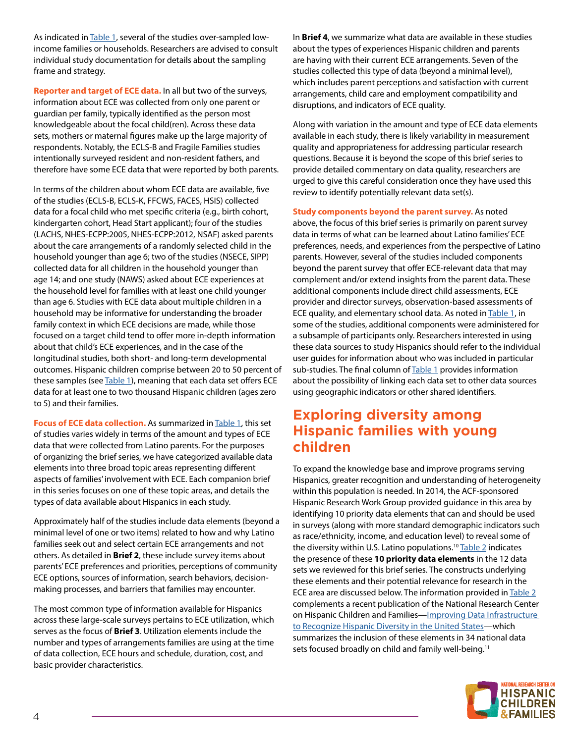As indicated in [Table 1,](#page-7-0) several of the studies over-sampled lowincome families or households. Researchers are advised to consult individual study documentation for details about the sampling frame and strategy.

**Reporter and target of ECE data.** In all but two of the surveys, information about ECE was collected from only one parent or guardian per family, typically identified as the person most knowledgeable about the focal child(ren). Across these data sets, mothers or maternal figures make up the large majority of respondents. Notably, the ECLS-B and Fragile Families studies intentionally surveyed resident and non-resident fathers, and therefore have some ECE data that were reported by both parents.

In terms of the children about whom ECE data are available, five of the studies (ECLS-B, ECLS-K, FFCWS, FACES, HSIS) collected data for a focal child who met specific criteria (e.g., birth cohort, kindergarten cohort, Head Start applicant); four of the studies (LACHS, NHES-ECPP:2005, NHES-ECPP:2012, NSAF) asked parents about the care arrangements of a randomly selected child in the household younger than age 6; two of the studies (NSECE, SIPP) collected data for all children in the household younger than age 14; and one study (NAWS) asked about ECE experiences at the household level for families with at least one child younger than age 6. Studies with ECE data about multiple children in a household may be informative for understanding the broader family context in which ECE decisions are made, while those focused on a target child tend to offer more in-depth information about that child's ECE experiences, and in the case of the longitudinal studies, both short- and long-term developmental outcomes. Hispanic children comprise between 20 to 50 percent of these samples (see [Table 1\)](#page-7-0), meaning that each data set offers ECE data for at least one to two thousand Hispanic children (ages zero to 5) and their families.

**Focus of ECE data collection.** As summarized in [Table 1,](#page-7-0) this set of studies varies widely in terms of the amount and types of ECE data that were collected from Latino parents. For the purposes of organizing the brief series, we have categorized available data elements into three broad topic areas representing different aspects of families' involvement with ECE. Each companion brief in this series focuses on one of these topic areas, and details the types of data available about Hispanics in each study.

Approximately half of the studies include data elements (beyond a minimal level of one or two items) related to how and why Latino families seek out and select certain ECE arrangements and not others. As detailed in **Brief 2**, these include survey items about parents' ECE preferences and priorities, perceptions of community ECE options, sources of information, search behaviors, decisionmaking processes, and barriers that families may encounter.

The most common type of information available for Hispanics across these large-scale surveys pertains to ECE utilization, which serves as the focus of **Brief 3**. Utilization elements include the number and types of arrangements families are using at the time of data collection, ECE hours and schedule, duration, cost, and basic provider characteristics.

In **Brief 4**, we summarize what data are available in these studies about the types of experiences Hispanic children and parents are having with their current ECE arrangements. Seven of the studies collected this type of data (beyond a minimal level), which includes parent perceptions and satisfaction with current arrangements, child care and employment compatibility and disruptions, and indicators of ECE quality.

Along with variation in the amount and type of ECE data elements available in each study, there is likely variability in measurement quality and appropriateness for addressing particular research questions. Because it is beyond the scope of this brief series to provide detailed commentary on data quality, researchers are urged to give this careful consideration once they have used this review to identify potentially relevant data set(s).

**Study components beyond the parent survey.** As noted above, the focus of this brief series is primarily on parent survey data in terms of what can be learned about Latino families' ECE preferences, needs, and experiences from the perspective of Latino parents. However, several of the studies included components beyond the parent survey that offer ECE-relevant data that may complement and/or extend insights from the parent data. These additional components include direct child assessments, ECE provider and director surveys, observation-based assessments of ECE quality, and elementary school data. As noted in [Table 1](#page-7-0), in some of the studies, additional components were administered for a subsample of participants only. Researchers interested in using these data sources to study Hispanics should refer to the individual user guides for information about who was included in particular sub-studies. The final column of [Table 1](#page-7-0) provides information about the possibility of linking each data set to other data sources using geographic indicators or other shared identifiers.

## **Exploring diversity among Hispanic families with young children**

To expand the knowledge base and improve programs serving Hispanics, greater recognition and understanding of heterogeneity within this population is needed. In 2014, the ACF-sponsored Hispanic Research Work Group provided guidance in this area by identifying 10 priority data elements that can and should be used in surveys (along with more standard demographic indicators such as race/ethnicity, income, and education level) to reveal some of the diversity within U.S. Latino populations.<sup>10</sup> [Table 2](#page-11-0) indicates the presence of these **10 priority data elements** in the 12 data sets we reviewed for this brief series. The constructs underlying these elements and their potential relevance for research in the ECE area are discussed below. The information provided in [Table 2](#page-11-0) complements a recent publication of the National Research Center on Hispanic Children and Families—Improving Data Infrastructure [to Recognize Hispanic Diversity in the United States](http://www.childtrends.org/?publications=improving-data-infrastructure-to-recognize-hispanic-diversity-in-the-united-states)—which summarizes the inclusion of these elements in 34 national data sets focused broadly on child and family well-being.<sup>11</sup>

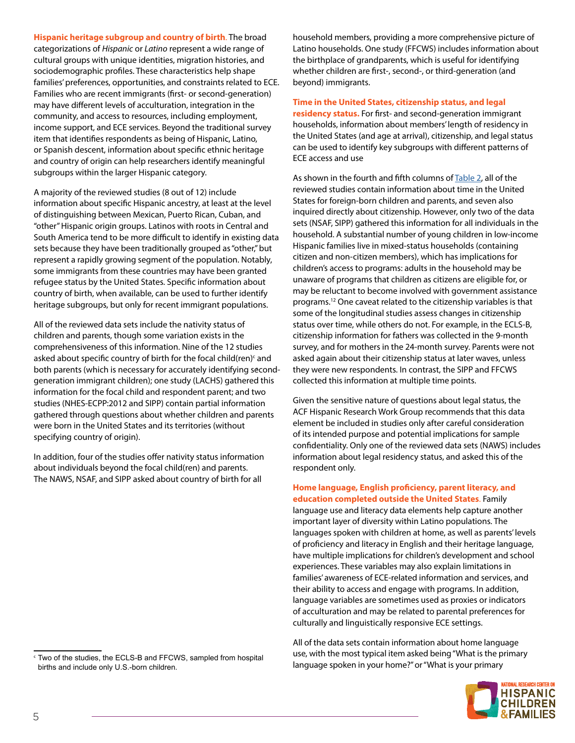**Hispanic heritage subgroup and country of birth**. The broad categorizations of *Hispanic* or *Latino* represent a wide range of cultural groups with unique identities, migration histories, and sociodemographic profiles. These characteristics help shape families' preferences, opportunities, and constraints related to ECE. Families who are recent immigrants (first- or second-generation) may have different levels of acculturation, integration in the community, and access to resources, including employment, income support, and ECE services. Beyond the traditional survey item that identifies respondents as being of Hispanic, Latino, or Spanish descent, information about specific ethnic heritage and country of origin can help researchers identify meaningful subgroups within the larger Hispanic category.

A majority of the reviewed studies (8 out of 12) include information about specific Hispanic ancestry, at least at the level of distinguishing between Mexican, Puerto Rican, Cuban, and "other" Hispanic origin groups. Latinos with roots in Central and South America tend to be more difficult to identify in existing data sets because they have been traditionally grouped as "other," but represent a rapidly growing segment of the population. Notably, some immigrants from these countries may have been granted refugee status by the United States. Specific information about country of birth, when available, can be used to further identify heritage subgroups, but only for recent immigrant populations.

both parents (which is necessary for accurately identifying second-All of the reviewed data sets include the nativity status of children and parents, though some variation exists in the comprehensiveness of this information. Nine of the 12 studies asked about specific country of birth for the focal child(ren) $\epsilon$  and generation immigrant children); one study (LACHS) gathered this information for the focal child and respondent parent; and two studies (NHES-ECPP:2012 and SIPP) contain partial information gathered through questions about whether children and parents were born in the United States and its territories (without specifying country of origin).

In addition, four of the studies offer nativity status information about individuals beyond the focal child(ren) and parents. The NAWS, NSAF, and SIPP asked about country of birth for all

<sup>c</sup> Two of the studies, the ECLS-B and FFCWS, sampled from hospital births and include only U.S.-born children.

household members, providing a more comprehensive picture of Latino households. One study (FFCWS) includes information about the birthplace of grandparents, which is useful for identifying whether children are first-, second-, or third-generation (and beyond) immigrants.

**Time in the United States, citizenship status, and legal** 

**residency status.** For first- and second-generation immigrant households, information about members' length of residency in the United States (and age at arrival), citizenship, and legal status can be used to identify key subgroups with different patterns of ECE access and use

As shown in the fourth and fifth columns of [Table 2,](#page-11-0) all of the reviewed studies contain information about time in the United States for foreign-born children and parents, and seven also inquired directly about citizenship. However, only two of the data sets (NSAF, SIPP) gathered this information for all individuals in the household. A substantial number of young children in low-income Hispanic families live in mixed-status households (containing citizen and non-citizen members), which has implications for children's access to programs: adults in the household may be unaware of programs that children as citizens are eligible for, or may be reluctant to become involved with government assistance programs.12 One caveat related to the citizenship variables is that some of the longitudinal studies assess changes in citizenship status over time, while others do not. For example, in the ECLS-B, citizenship information for fathers was collected in the 9-month survey, and for mothers in the 24-month survey. Parents were not asked again about their citizenship status at later waves, unless they were new respondents. In contrast, the SIPP and FFCWS collected this information at multiple time points.

Given the sensitive nature of questions about legal status, the ACF Hispanic Research Work Group recommends that this data element be included in studies only after careful consideration of its intended purpose and potential implications for sample confidentiality. Only one of the reviewed data sets (NAWS) includes information about legal residency status, and asked this of the respondent only.

#### **Home language, English proficiency, parent literacy, and education completed outside the United States**. Family

language use and literacy data elements help capture another important layer of diversity within Latino populations. The languages spoken with children at home, as well as parents' levels of proficiency and literacy in English and their heritage language, have multiple implications for children's development and school experiences. These variables may also explain limitations in families' awareness of ECE-related information and services, and their ability to access and engage with programs. In addition, language variables are sometimes used as proxies or indicators of acculturation and may be related to parental preferences for culturally and linguistically responsive ECE settings.

All of the data sets contain information about home language use, with the most typical item asked being "What is the primary language spoken in your home?" or "What is your primary

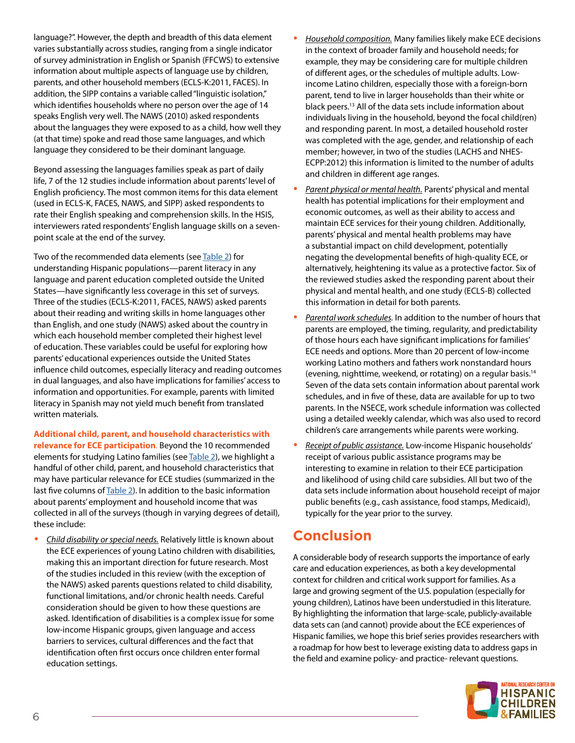language?". However, the depth and breadth of this data element varies substantially across studies, ranging from a single indicator of survey administration in English or Spanish (FFCWS) to extensive information about multiple aspects of language use by children, parents, and other household members (ECLS-K:2011, FACES). In addition, the SIPP contains a variable called "linguistic isolation," which identifies households where no person over the age of 14 speaks English very well. The NAWS (2010) asked respondents about the languages they were exposed to as a child, how well they (at that time) spoke and read those same languages, and which language they considered to be their dominant language.

Beyond assessing the languages families speak as part of daily life, 7 of the 12 studies include information about parents' level of English proficiency. The most common items for this data element (used in ECLS-K, FACES, NAWS, and SIPP) asked respondents to rate their English speaking and comprehension skills. In the HSIS, interviewers rated respondents' English language skills on a sevenpoint scale at the end of the survey.

Two of the recommended data elements (see [Table 2](#page-11-0)) for understanding Hispanic populations—parent literacy in any language and parent education completed outside the United States—have significantly less coverage in this set of surveys. Three of the studies (ECLS-K:2011, FACES, NAWS) asked parents about their reading and writing skills in home languages other than English, and one study (NAWS) asked about the country in which each household member completed their highest level of education. These variables could be useful for exploring how parents' educational experiences outside the United States influence child outcomes, especially literacy and reading outcomes in dual languages, and also have implications for families' access to information and opportunities. For example, parents with limited literacy in Spanish may not yield much benefit from translated written materials.

**Additional child, parent, and household characteristics with relevance for ECE participation**. Beyond the 10 recommended elements for studying Latino families (see [Table 2](#page-11-0)), we highlight a handful of other child, parent, and household characteristics that may have particular relevance for ECE studies (summarized in the last five columns of [Table 2](#page-11-0)). In addition to the basic information about parents' employment and household income that was collected in all of the surveys (though in varying degrees of detail), these include:

**•** *Child disability or special needs.* Relatively little is known about the ECE experiences of young Latino children with disabilities, making this an important direction for future research. Most of the studies included in this review (with the exception of the NAWS) asked parents questions related to child disability, functional limitations, and/or chronic health needs. Careful consideration should be given to how these questions are asked. Identification of disabilities is a complex issue for some low-income Hispanic groups, given language and access barriers to services, cultural differences and the fact that identification often first occurs once children enter formal education settings.

- **•** *Household composition.* Many families likely make ECE decisions in the context of broader family and household needs; for example, they may be considering care for multiple children of different ages, or the schedules of multiple adults. Lowincome Latino children, especially those with a foreign-born parent, tend to live in larger households than their white or black peers.13 All of the data sets include information about individuals living in the household, beyond the focal child(ren) and responding parent. In most, a detailed household roster was completed with the age, gender, and relationship of each member; however, in two of the studies (LACHS and NHES-ECPP:2012) this information is limited to the number of adults and children in different age ranges.
- **•** *Parent physical or mental health.* Parents' physical and mental health has potential implications for their employment and economic outcomes, as well as their ability to access and maintain ECE services for their young children. Additionally, parents' physical and mental health problems may have a substantial impact on child development, potentially negating the developmental benefits of high-quality ECE, or alternatively, heightening its value as a protective factor. Six of the reviewed studies asked the responding parent about their physical and mental health, and one study (ECLS-B) collected this information in detail for both parents.
- **•** *Parental work schedules.* In addition to the number of hours that parents are employed, the timing, regularity, and predictability of those hours each have significant implications for families' ECE needs and options. More than 20 percent of low-income working Latino mothers and fathers work nonstandard hours (evening, nighttime, weekend, or rotating) on a regular basis.14 Seven of the data sets contain information about parental work schedules, and in five of these, data are available for up to two parents. In the NSECE, work schedule information was collected using a detailed weekly calendar, which was also used to record children's care arrangements while parents were working.
- **•** *Receipt of public assistance.* Low-income Hispanic households' receipt of various public assistance programs may be interesting to examine in relation to their ECE participation and likelihood of using child care subsidies. All but two of the data sets include information about household receipt of major public benefits (e.g., cash assistance, food stamps, Medicaid), typically for the year prior to the survey.

## **Conclusion**

A considerable body of research supports the importance of early care and education experiences, as both a key developmental context for children and critical work support for families. As a large and growing segment of the U.S. population (especially for young children), Latinos have been understudied in this literature. By highlighting the information that large-scale, publicly-available data sets can (and cannot) provide about the ECE experiences of Hispanic families, we hope this brief series provides researchers with a roadmap for how best to leverage existing data to address gaps in the field and examine policy- and practice- relevant questions.

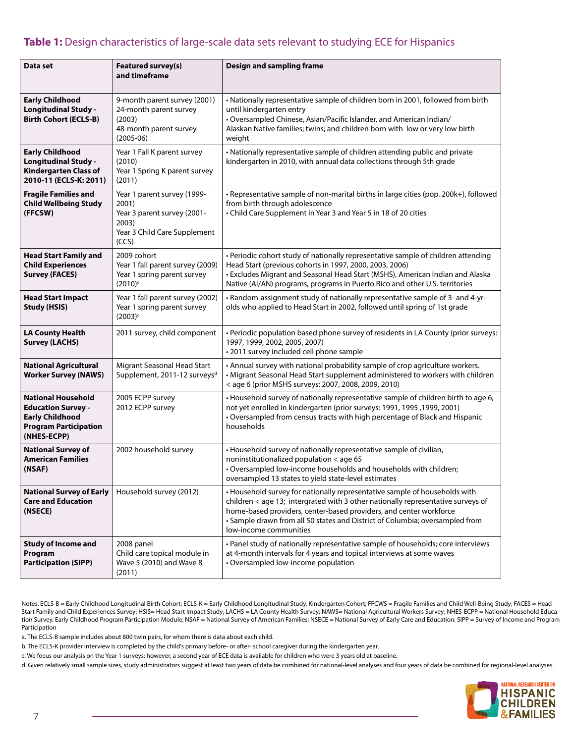## <span id="page-7-0"></span>Table 1: Design characteristics of large-scale data sets relevant to studying ECE for Hispanics

| Data set                                                                                                                        | Featured survey(s)<br>and timeframe                                                                                   | Design and sampling frame                                                                                                                                                                                                                                                                                                                      |
|---------------------------------------------------------------------------------------------------------------------------------|-----------------------------------------------------------------------------------------------------------------------|------------------------------------------------------------------------------------------------------------------------------------------------------------------------------------------------------------------------------------------------------------------------------------------------------------------------------------------------|
| <b>Early Childhood</b><br><b>Longitudinal Study -</b><br><b>Birth Cohort (ECLS-B)</b>                                           | 9-month parent survey (2001)<br>24-month parent survey<br>(2003)<br>48-month parent survey<br>$(2005-06)$             | • Nationally representative sample of children born in 2001, followed from birth<br>until kindergarten entry<br>• Oversampled Chinese, Asian/Pacific Islander, and American Indian/<br>Alaskan Native families; twins; and children born with low or very low birth<br>weight                                                                  |
| <b>Early Childhood</b><br><b>Longitudinal Study -</b><br><b>Kindergarten Class of</b><br>2010-11 (ECLS-K: 2011)                 | Year 1 Fall K parent survey<br>(2010)<br>Year 1 Spring K parent survey<br>(2011)                                      | • Nationally representative sample of children attending public and private<br>kindergarten in 2010, with annual data collections through 5th grade                                                                                                                                                                                            |
| <b>Fragile Families and</b><br><b>Child Wellbeing Study</b><br>(FFCSW)                                                          | Year 1 parent survey (1999-<br>2001)<br>Year 3 parent survey (2001-<br>2003)<br>Year 3 Child Care Supplement<br>(CCS) | • Representative sample of non-marital births in large cities (pop. 200k+), followed<br>from birth through adolescence<br>• Child Care Supplement in Year 3 and Year 5 in 18 of 20 cities                                                                                                                                                      |
| <b>Head Start Family and</b><br><b>Child Experiences</b><br><b>Survey (FACES)</b>                                               | 2009 cohort<br>Year 1 fall parent survey (2009)<br>Year 1 spring parent survey<br>$(2010)^c$                          | • Periodic cohort study of nationally representative sample of children attending<br>Head Start (previous cohorts in 1997, 2000, 2003, 2006)<br>• Excludes Migrant and Seasonal Head Start (MSHS), American Indian and Alaska<br>Native (AI/AN) programs, programs in Puerto Rico and other U.S. territories                                   |
| <b>Head Start Impact</b><br><b>Study (HSIS)</b>                                                                                 | Year 1 fall parent survey (2002)<br>Year 1 spring parent survey<br>$(2003)^c$                                         | • Random-assignment study of nationally representative sample of 3- and 4-yr-<br>olds who applied to Head Start in 2002, followed until spring of 1st grade                                                                                                                                                                                    |
| <b>LA County Health</b><br><b>Survey (LACHS)</b>                                                                                | 2011 survey, child component                                                                                          | • Periodic population based phone survey of residents in LA County (prior surveys:<br>1997, 1999, 2002, 2005, 2007)<br>· 2011 survey included cell phone sample                                                                                                                                                                                |
| <b>National Agricultural</b><br><b>Worker Survey (NAWS)</b>                                                                     | Migrant Seasonal Head Start<br>Supplement, 2011-12 surveys <sup>d</sup>                                               | • Annual survey with national probability sample of crop agriculture workers.<br>• Migrant Seasonal Head Start supplement administered to workers with children<br><age (prior="" 2007,="" 2008,="" 2009,="" 2010)<="" 6="" mshs="" surveys:="" th=""></age>                                                                                   |
| <b>National Household</b><br><b>Education Survey -</b><br><b>Early Childhood</b><br><b>Program Participation</b><br>(NHES-ECPP) | 2005 ECPP survey<br>2012 ECPP survey                                                                                  | • Household survey of nationally representative sample of children birth to age 6,<br>not yet enrolled in kindergarten (prior surveys: 1991, 1995, 1999, 2001)<br>• Oversampled from census tracts with high percentage of Black and Hispanic<br>households                                                                                    |
| <b>National Survey of</b><br><b>American Families</b><br>(NSAF)                                                                 | 2002 household survey                                                                                                 | • Household survey of nationally representative sample of civilian,<br>noninstitutionalized population < age 65<br>. Oversampled low-income households and households with children;<br>oversampled 13 states to yield state-level estimates                                                                                                   |
| <b>National Survey of Early</b><br><b>Care and Education</b><br>(NSECE)                                                         | Household survey (2012)                                                                                               | • Household survey for nationally representative sample of households with<br>children < age 13; intergrated with 3 other nationally representative surveys of<br>home-based providers, center-based providers, and center workforce<br>• Sample drawn from all 50 states and District of Columbia; oversampled from<br>low-income communities |
| <b>Study of Income and</b><br>Program<br><b>Participation (SIPP)</b>                                                            | 2008 panel<br>Child care topical module in<br>Wave 5 (2010) and Wave 8<br>(2011)                                      | • Panel study of nationally representative sample of households; core interviews<br>at 4-month intervals for 4 years and topical interviews at some waves<br>• Oversampled low-income population                                                                                                                                               |

Notes. ECLS-B = Early Childhood Longitudinal Birth Cohort; ECLS-K = Early Childhood Longitudinal Study, Kindergarten Cohort; FFCWS = Fragile Families and Child Well-Being Study; FACES = Head Start Family and Child Experiences Survey; HSIS= Head Start Impact Study; LACHS = LA County Health Survey; NAWS= National Agricultural Workers Survey; NHES-ECPP = National Household Education Survey, Early Childhood Program Participation Module; NSAF = National Survey of American Families; NSECE = National Survey of Early Care and Education; SIPP = Survey of Income and Program Participation

a. The ECLS-B sample includes about 800 twin pairs, for whom there is data about each child.

b. The ECLS-K provider interview is completed by the child's primary before- or after- school caregiver during the kindergarten year.

c. We focus our analysis on the Year 1 surveys; however, a second year of ECE data is available for children who were 3 years old at baseline.

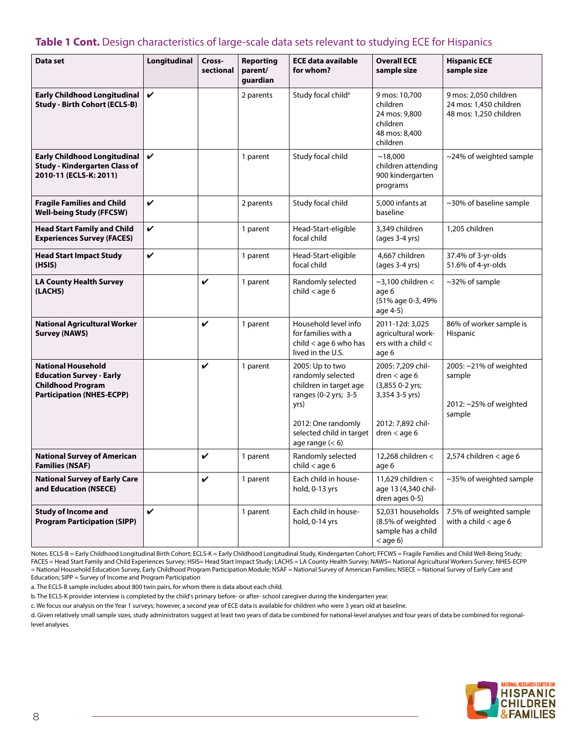### **Table 1 Cont.** Design characteristics of large-scale data sets relevant to studying ECE for Hispanics

| Data set                                                                                                                     | Longitudinal | Cross-<br>sectional | <b>Reporting</b><br>parent/<br>guardian | <b>ECE data available</b><br>for whom?                                                                                                                                | <b>Overall ECE</b><br>sample size                                                                               | <b>Hispanic ECE</b><br>sample size                                        |  |
|------------------------------------------------------------------------------------------------------------------------------|--------------|---------------------|-----------------------------------------|-----------------------------------------------------------------------------------------------------------------------------------------------------------------------|-----------------------------------------------------------------------------------------------------------------|---------------------------------------------------------------------------|--|
| <b>Early Childhood Longitudinal</b><br><b>Study - Birth Cohort (ECLS-B)</b>                                                  | $\checkmark$ |                     | 2 parents                               | Study focal child <sup>a</sup>                                                                                                                                        | 9 mos: 10,700<br>children<br>24 mos: 9,800<br>children<br>48 mos: 8,400<br>children                             | 9 mos: 2,050 children<br>24 mos: 1,450 children<br>48 mos: 1,250 children |  |
| <b>Early Childhood Longitudinal</b><br><b>Study - Kindergarten Class of</b><br>2010-11 (ECLS-K: 2011)                        | $\checkmark$ |                     | 1 parent                                | Study focal child                                                                                                                                                     | ~18,000<br>children attending<br>900 kindergarten<br>programs                                                   | ~24% of weighted sample                                                   |  |
| <b>Fragile Families and Child</b><br><b>Well-being Study (FFCSW)</b>                                                         | $\checkmark$ |                     | 2 parents                               | Study focal child<br>5,000 infants at<br>baseline                                                                                                                     |                                                                                                                 | ~30% of baseline sample                                                   |  |
| <b>Head Start Family and Child</b><br><b>Experiences Survey (FACES)</b>                                                      | $\checkmark$ |                     | 1 parent                                | Head-Start-eligible<br>focal child                                                                                                                                    | 3,349 children<br>$(aqes 3-4yrs)$                                                                               | 1,205 children                                                            |  |
| <b>Head Start Impact Study</b><br>(HSIS)                                                                                     | $\checkmark$ |                     | 1 parent                                | Head-Start-eligible<br>focal child                                                                                                                                    | 4,667 children<br>$(aqes 3-4yrs)$                                                                               | 37.4% of 3-yr-olds<br>51.6% of 4-yr-olds                                  |  |
| <b>LA County Health Survey</b><br>(LACHS)                                                                                    |              | $\checkmark$        | 1 parent                                | Randomly selected<br>child $<$ age 6                                                                                                                                  | $\sim$ 3,100 children <<br>age 6<br>(51% age 0-3, 49%<br>age 4-5)                                               | ~32% of sample                                                            |  |
| <b>National Agricultural Worker</b><br><b>Survey (NAWS)</b>                                                                  |              | $\checkmark$        | 1 parent                                | Household level info<br>for families with a<br>$child <$ age 6 who has<br>lived in the U.S.                                                                           | 2011-12d: 3,025<br>agricultural work-<br>ers with a child $\lt$<br>age 6                                        | 86% of worker sample is<br>Hispanic                                       |  |
| <b>National Household</b><br><b>Education Survey - Early</b><br><b>Childhood Program</b><br><b>Participation (NHES-ECPP)</b> |              | $\checkmark$        | 1 parent                                | 2005: Up to two<br>randomly selected<br>children in target age<br>ranges (0-2 yrs; 3-5<br>yrs)<br>2012: One randomly<br>selected child in target<br>age range $(< 6)$ | 2005: 7,209 chil-<br>dren $<$ age 6<br>(3,855 0-2 yrs;<br>3,354 3-5 yrs)<br>2012: 7,892 chil-<br>dren $<$ age 6 | 2005: ~21% of weighted<br>sample<br>2012: ~25% of weighted<br>sample      |  |
| <b>National Survey of American</b><br><b>Families (NSAF)</b>                                                                 |              | V                   | 1 parent                                | Randomly selected<br>child $<$ age 6                                                                                                                                  | 12,268 children <<br>age 6                                                                                      | $2,574$ children < age 6                                                  |  |
| <b>National Survey of Early Care</b><br>and Education (NSECE)                                                                |              | V                   | 1 parent                                | Each child in house-<br>hold, 0-13 yrs                                                                                                                                | 11,629 children <<br>age 13 (4,340 chil-<br>dren ages 0-5)                                                      | ~35% of weighted sample                                                   |  |
| <b>Study of Income and</b><br><b>Program Participation (SIPP)</b>                                                            | V            |                     | 1 parent                                | Each child in house-<br>hold, 0-14 yrs                                                                                                                                | 52,031 households<br>(8.5% of weighted<br>sample has a child<br>$<$ age 6)                                      | 7.5% of weighted sample<br>with a child $<$ age 6                         |  |

Notes. ECLS-B = Early Childhood Longitudinal Birth Cohort; ECLS-K = Early Childhood Longitudinal Study, Kindergarten Cohort; FFCWS = Fragile Families and Child Well-Being Study; FACES = Head Start Family and Child Experiences Survey; HSIS= Head Start Impact Study; LACHS = LA County Health Survey; NAWS= National Agricultural Workers Survey; NHES-ECPP = National Household Education Survey, Early Childhood Program Participation Module; NSAF = National Survey of American Families; NSECE = National Survey of Early Care and Education; SIPP = Survey of Income and Program Participation

a. The ECLS-B sample includes about 800 twin pairs, for whom there is data about each child.

b. The ECLS-K provider interview is completed by the child's primary before- or after- school caregiver during the kindergarten year.

c. We focus our analysis on the Year 1 surveys; however, a second year of ECE data is available for children who were 3 years old at baseline.

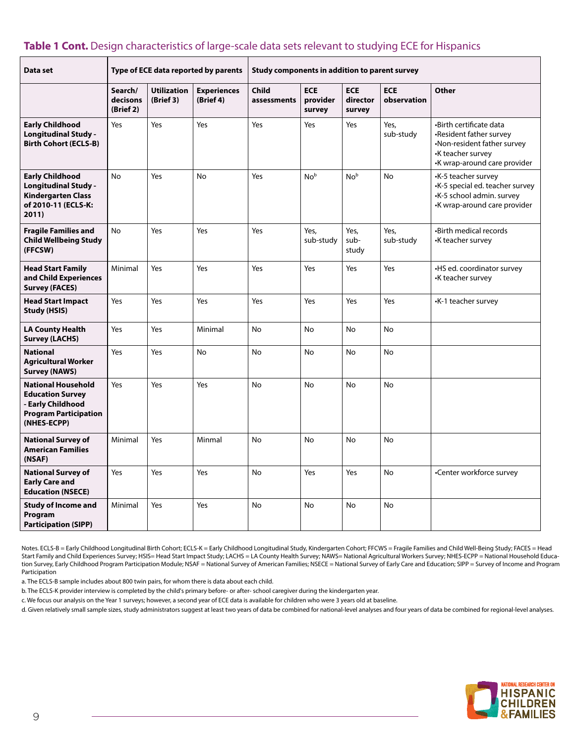## **Table 1 Cont.** Design characteristics of large-scale data sets relevant to studying ECE for Hispanics

| Data set                                                                                                                 |                                  |                                 | Type of ECE data reported by parents | Study components in addition to parent survey |                                  |                                  |                           |                                                                                                                                        |  |  |  |
|--------------------------------------------------------------------------------------------------------------------------|----------------------------------|---------------------------------|--------------------------------------|-----------------------------------------------|----------------------------------|----------------------------------|---------------------------|----------------------------------------------------------------------------------------------------------------------------------------|--|--|--|
|                                                                                                                          | Search/<br>decisons<br>(Brief 2) | <b>Utilization</b><br>(Brief 3) | <b>Experiences</b><br>(Brief 4)      | <b>Child</b><br>assessments                   | <b>ECE</b><br>provider<br>survey | <b>ECE</b><br>director<br>survey | <b>ECE</b><br>observation | Other                                                                                                                                  |  |  |  |
| <b>Early Childhood</b><br><b>Longitudinal Study -</b><br><b>Birth Cohort (ECLS-B)</b>                                    | Yes                              | Yes                             | Yes                                  | Yes                                           | Yes                              | Yes                              | Yes,<br>sub-study         | •Birth certificate data<br>·Resident father survey<br>•Non-resident father survey<br>•K teacher survey<br>•K wrap-around care provider |  |  |  |
| <b>Early Childhood</b><br><b>Longitudinal Study -</b><br><b>Kindergarten Class</b><br>of 2010-11 (ECLS-K:<br>2011)       | <b>No</b>                        | Yes                             | No                                   | Yes                                           | No <sup>b</sup>                  | No <sup>b</sup>                  | <b>No</b>                 | •K-5 teacher survey<br>-K-5 special ed. teacher survey<br>•K-5 school admin. survey<br>•K wrap-around care provider                    |  |  |  |
| <b>Fragile Families and</b><br><b>Child Wellbeing Study</b><br>(FFCSW)                                                   | No                               | Yes                             | Yes                                  | Yes                                           | Yes,<br>sub-study                | Yes,<br>sub-<br>study            | Yes,<br>sub-study         | <b>Birth medical records</b><br>•K teacher survey                                                                                      |  |  |  |
| <b>Head Start Family</b><br>and Child Experiences<br><b>Survey (FACES)</b>                                               | Minimal                          | Yes                             | Yes                                  | Yes                                           | Yes                              | Yes                              | Yes                       | •HS ed. coordinator survey<br>•K teacher survey                                                                                        |  |  |  |
| <b>Head Start Impact</b><br>Study (HSIS)                                                                                 | Yes                              | Yes                             | Yes                                  | Yes                                           | Yes                              | Yes                              | Yes                       | •K-1 teacher survey                                                                                                                    |  |  |  |
| <b>LA County Health</b><br>Survey (LACHS)                                                                                | Yes                              | Yes                             | Minimal                              | No                                            | No                               | <b>No</b>                        | No                        |                                                                                                                                        |  |  |  |
| <b>National</b><br><b>Agricultural Worker</b><br><b>Survey (NAWS)</b>                                                    | Yes                              | Yes                             | No                                   | <b>No</b>                                     | <b>No</b>                        | <b>No</b>                        | No                        |                                                                                                                                        |  |  |  |
| <b>National Household</b><br><b>Education Survey</b><br>- Early Childhood<br><b>Program Participation</b><br>(NHES-ECPP) | Yes                              | Yes                             | Yes                                  | <b>No</b>                                     | <b>No</b>                        | <b>No</b>                        | <b>No</b>                 |                                                                                                                                        |  |  |  |
| <b>National Survey of</b><br><b>American Families</b><br>(NSAF)                                                          | Minimal                          | Yes                             | Minmal                               | <b>No</b>                                     | <b>No</b>                        | <b>No</b>                        | <b>No</b>                 |                                                                                                                                        |  |  |  |
| <b>National Survey of</b><br><b>Early Care and</b><br><b>Education (NSECE)</b>                                           | Yes                              | Yes                             | Yes                                  | No                                            | Yes                              | Yes                              | No                        | •Center workforce survey                                                                                                               |  |  |  |
| <b>Study of Income and</b><br>Program<br><b>Participation (SIPP)</b>                                                     | Minimal                          | Yes                             | Yes                                  | No                                            | No                               | No                               | No                        |                                                                                                                                        |  |  |  |

Notes. ECLS-B = Early Childhood Longitudinal Birth Cohort; ECLS-K = Early Childhood Longitudinal Study, Kindergarten Cohort; FFCWS = Fragile Families and Child Well-Being Study; FACES = Head Start Family and Child Experiences Survey; HSIS= Head Start Impact Study; LACHS = LA County Health Survey; NAWS= National Agricultural Workers Survey; NHES-ECPP = National Household Education Survey, Early Childhood Program Participation Module; NSAF = National Survey of American Families; NSECE = National Survey of Early Care and Education; SIPP = Survey of Income and Program Participation

a. The ECLS-B sample includes about 800 twin pairs, for whom there is data about each child.

b. The ECLS-K provider interview is completed by the child's primary before- or after- school caregiver during the kindergarten year.

c. We focus our analysis on the Year 1 surveys; however, a second year of ECE data is available for children who were 3 years old at baseline.

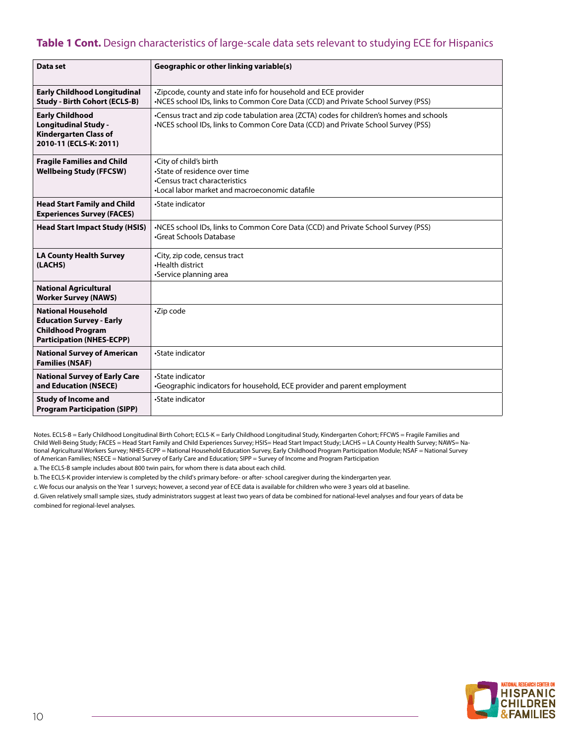## **Table 1 Cont.** Design characteristics of large-scale data sets relevant to studying ECE for Hispanics

| Data set                                                                                                                     | <b>Geographic or other linking variable(s)</b>                                                                                                                                |
|------------------------------------------------------------------------------------------------------------------------------|-------------------------------------------------------------------------------------------------------------------------------------------------------------------------------|
| <b>Early Childhood Longitudinal</b><br><b>Study - Birth Cohort (ECLS-B)</b>                                                  | -Zipcode, county and state info for household and ECE provider<br>•NCES school IDs, links to Common Core Data (CCD) and Private School Survey (PSS)                           |
| <b>Early Childhood</b><br><b>Longitudinal Study -</b><br><b>Kindergarten Class of</b><br>2010-11 (ECLS-K: 2011)              | •Census tract and zip code tabulation area (ZCTA) codes for children's homes and schools<br>•NCES school IDs, links to Common Core Data (CCD) and Private School Survey (PSS) |
| <b>Fragile Families and Child</b><br><b>Wellbeing Study (FFCSW)</b>                                                          | •City of child's birth<br>•State of residence over time<br>•Census tract characteristics<br>•Local labor market and macroeconomic datafile                                    |
| <b>Head Start Family and Child</b><br><b>Experiences Survey (FACES)</b>                                                      | •State indicator                                                                                                                                                              |
| <b>Head Start Impact Study (HSIS)</b>                                                                                        | •NCES school IDs, links to Common Core Data (CCD) and Private School Survey (PSS)<br>Great Schools Database                                                                   |
| <b>LA County Health Survey</b><br>(LACHS)                                                                                    | •City, zip code, census tract<br>.Health district<br>•Service planning area                                                                                                   |
| <b>National Agricultural</b><br><b>Worker Survey (NAWS)</b>                                                                  |                                                                                                                                                                               |
| <b>National Household</b><br><b>Education Survey - Early</b><br><b>Childhood Program</b><br><b>Participation (NHES-ECPP)</b> | <b>-Zip code</b>                                                                                                                                                              |
| <b>National Survey of American</b><br><b>Families (NSAF)</b>                                                                 | •State indicator                                                                                                                                                              |
| <b>National Survey of Early Care</b><br>and Education (NSECE)                                                                | •State indicator<br>•Geographic indicators for household, ECE provider and parent employment                                                                                  |
| <b>Study of Income and</b><br><b>Program Participation (SIPP)</b>                                                            | •State indicator                                                                                                                                                              |

Notes. ECLS-B = Early Childhood Longitudinal Birth Cohort; ECLS-K = Early Childhood Longitudinal Study, Kindergarten Cohort; FFCWS = Fragile Families and Child Well-Being Study; FACES = Head Start Family and Child Experiences Survey; HSIS= Head Start Impact Study; LACHS = LA County Health Survey; NAWS= National Agricultural Workers Survey; NHES-ECPP = National Household Education Survey, Early Childhood Program Participation Module; NSAF = National Survey of American Families; NSECE = National Survey of Early Care and Education; SIPP = Survey of Income and Program Participation

a. The ECLS-B sample includes about 800 twin pairs, for whom there is data about each child.

b. The ECLS-K provider interview is completed by the child's primary before- or after- school caregiver during the kindergarten year.

c. We focus our analysis on the Year 1 surveys; however, a second year of ECE data is available for children who were 3 years old at baseline.

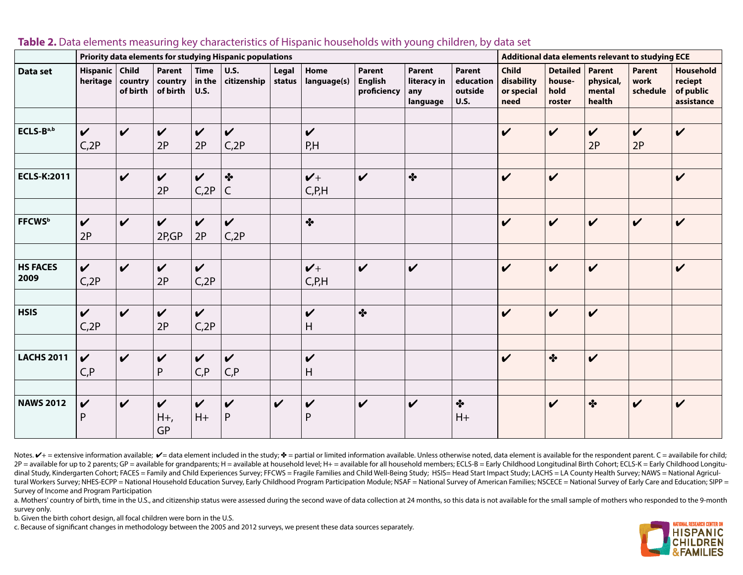<span id="page-11-0"></span>

|                         | Priority data elements for studying Hispanic populations |                     |                                      |                                      |                                  |                 |                              |                                                |                                          |                                               |                                                  | Additional data elements relevant to studying ECE |                                         |                                   |                                                        |  |  |
|-------------------------|----------------------------------------------------------|---------------------|--------------------------------------|--------------------------------------|----------------------------------|-----------------|------------------------------|------------------------------------------------|------------------------------------------|-----------------------------------------------|--------------------------------------------------|---------------------------------------------------|-----------------------------------------|-----------------------------------|--------------------------------------------------------|--|--|
| Data set                | Hispanic   Child<br>heritage                             | country<br>of birth | <b>Parent</b><br>country<br>of birth | <b>Time</b><br>in the<br><b>U.S.</b> | <b>U.S.</b><br>citizenship       | Legal<br>status | Home<br>language(s)          | <b>Parent</b><br><b>English</b><br>proficiency | Parent<br>literacy in<br>any<br>language | Parent<br>education<br>outside<br><b>U.S.</b> | <b>Child</b><br>disability<br>or special<br>need | <b>Detailed</b><br>house-<br>hold<br>roster       | Parent<br>physical,<br>mental<br>health | <b>Parent</b><br>work<br>schedule | <b>Household</b><br>reciept<br>of public<br>assistance |  |  |
| ECLS-Ba,b               | $\checkmark$<br>C <sub>2</sub> P                         | $\mathbf v$         | $\checkmark$<br>2P                   | $\checkmark$<br>2P                   | $\checkmark$<br>C <sub>2</sub> P |                 | $\checkmark$<br>P,H          |                                                |                                          |                                               | $\checkmark$                                     | $\checkmark$                                      | $\boldsymbol{\mathcal{U}}$<br>2P        | $\checkmark$<br>2P                | $\boldsymbol{\mathcal{U}}$                             |  |  |
| <b>ECLS-K:2011</b>      |                                                          | $\checkmark$        | $\checkmark$<br>2P                   | $\mathbf v$<br>C <sub>2</sub> P      | $\bullet$<br>C                   |                 | $V +$<br>C, P, H             | $\checkmark$                                   | $\cdot$                                  |                                               | $\checkmark$                                     | $\checkmark$                                      |                                         |                                   | $\checkmark$                                           |  |  |
| <b>FFCWS</b> b          | $\checkmark$<br>2P                                       | $\boldsymbol{\nu}$  | $\checkmark$<br>2P,GP                | $\mathbf v$<br>2P                    | $\mathbf v$<br>C <sub>2</sub> P  |                 | $\bullet$                    |                                                |                                          |                                               | $\checkmark$                                     | $\checkmark$                                      | $\boldsymbol{\nu}$                      | $\checkmark$                      | $\checkmark$                                           |  |  |
| <b>HS FACES</b><br>2009 | $\checkmark$<br>C <sub>2</sub> P                         | $\checkmark$        | $\checkmark$<br>2P                   | $\checkmark$<br>C, 2P                |                                  |                 | $V +$<br>C, P, H             | $\checkmark$                                   | $\checkmark$                             |                                               | $\checkmark$                                     | $\checkmark$                                      | $\boldsymbol{\nu}$                      |                                   | $\boldsymbol{\nu}$                                     |  |  |
| <b>HSIS</b>             | $\checkmark$<br>C, 2P                                    | $\mathbf v$         | $\checkmark$<br>2P                   | $\checkmark$<br>C, 2P                |                                  |                 | $\checkmark$<br>Н            | $\bullet$                                      |                                          |                                               | $\checkmark$                                     | $\checkmark$                                      | $\boldsymbol{\nu}$                      |                                   |                                                        |  |  |
| <b>LACHS 2011</b>       | $\mathbf v$<br>C, P                                      | $\checkmark$        | $\checkmark$<br>P                    | $\mathbf v$<br>C, P                  | $\checkmark$<br>C, P             |                 | $\boldsymbol{\nu}$<br>H      |                                                |                                          |                                               | $\checkmark$                                     | $\cdot$                                           | $\boldsymbol{\mathcal{U}}$              |                                   |                                                        |  |  |
| <b>NAWS 2012</b>        | $\checkmark$<br>P                                        | $\boldsymbol{\nu}$  | $\checkmark$<br>$H_{+}$<br>GP        | $\mathbf v$<br>$H+$                  | $\checkmark$<br>${\sf P}$        | $\checkmark$    | $\checkmark$<br>$\mathsf{P}$ | $\checkmark$                                   | $\checkmark$                             | $\bullet$<br>$H+$                             |                                                  | $\checkmark$                                      | $\cdot$                                 | $\boldsymbol{\mathcal{U}}$        | $\boldsymbol{\nu}$                                     |  |  |

#### **Table 2.** Data elements measuring key characteristics of Hispanic households with young children, by data set

Notes.  $V$ + = extensive information available;  $V$ = data element included in the study;  $*$  = partial or limited information available. Unless otherwise noted, data element is available for the respondent parent. C = avai 2P = available for up to 2 parents; GP = available for grandparents; H = available at household level; H+ = available for all household members; ECLS-B = Early Childhood Longitudinal Birth Cohort; ECLS-K = Early Childhood dinal Study, Kindergarten Cohort; FACES = Family and Child Experiences Survey; FFCWS = Fragile Families and Child Well-Being Study; HSIS= Head Start Impact Study; LACHS = LA County Health Survey; NAWS = National Agricultural Workers Survey; NHES-ECPP = National Household Education Survey, Early Childhood Program Participation Module; NSAF = National Survey of American Families; NSCECE = National Survey of Early Care and Education; SIPP = Survey of Income and Program Participation

a. Mothers' country of birth, time in the U.S., and citizenship status were assessed during the second wave of data collection at 24 months, so this data is not available for the small sample of mothers who responded to th survey only.

b. Given the birth cohort design, all focal children were born in the U.S.

c. Because of significant changes in methodology between the 2005 and 2012 surveys, we present these data sources separately.

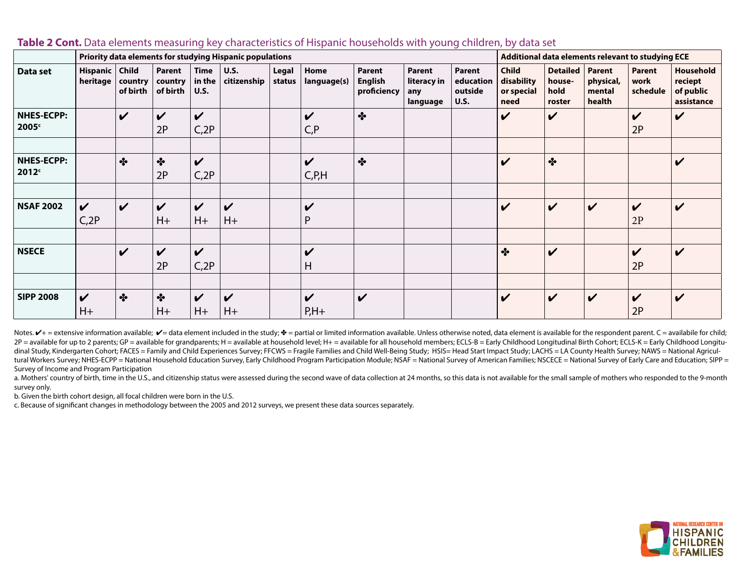|                                        | Priority data elements for studying Hispanic populations |                              |                                  |                                                |                                    |                 |                                        |                                  |                                          |                                               |                                                  | Additional data elements relevant to studying ECE |                                         |                                   |                                                 |  |  |
|----------------------------------------|----------------------------------------------------------|------------------------------|----------------------------------|------------------------------------------------|------------------------------------|-----------------|----------------------------------------|----------------------------------|------------------------------------------|-----------------------------------------------|--------------------------------------------------|---------------------------------------------------|-----------------------------------------|-----------------------------------|-------------------------------------------------|--|--|
| Data set                               | Hispanic<br>heritage                                     | Child<br>country<br>of birth | Parent<br>country<br>of birth    | <b>Time</b><br>in the<br><b>U.S.</b>           | <b>U.S.</b><br>citizenship         | Legal<br>status | Home<br>language(s)                    | Parent<br>English<br>proficiency | Parent<br>literacy in<br>any<br>language | Parent<br>education<br>outside<br><b>U.S.</b> | <b>Child</b><br>disability<br>or special<br>need | <b>Detailed</b><br>house-<br>hold<br>roster       | Parent<br>physical,<br>mental<br>health | <b>Parent</b><br>work<br>schedule | Household<br>reciept<br>of public<br>assistance |  |  |
| <b>NHES-ECPP:</b><br>2005 <sup>c</sup> |                                                          | $\boldsymbol{\mathcal{U}}$   | $\boldsymbol{\mathcal{U}}$<br>2P | $\boldsymbol{\mathcal{U}}$<br>C <sub>2</sub> P |                                    |                 | $\boldsymbol{\mathcal{U}}$<br>C, P     | $\cdot$                          |                                          |                                               | V                                                | $\boldsymbol{\mathcal{U}}$                        |                                         | $\boldsymbol{\mathcal{U}}$<br>2P  | $\boldsymbol{\mathcal{U}}$                      |  |  |
| <b>NHES-ECPP:</b><br>2012 <sup>c</sup> |                                                          | $\cdot$                      | $\cdot$<br>2P                    | $\checkmark$<br>C <sub>2</sub> P               |                                    |                 | $\checkmark$<br>C, P, H                | $\cdot$                          |                                          |                                               | $\checkmark$                                     | $\cdot$                                           |                                         |                                   | $\checkmark$                                    |  |  |
| <b>NSAF 2002</b>                       | $\boldsymbol{\mathcal{U}}$<br>C <sub>2</sub> P           | $\boldsymbol{\mathcal{U}}$   | $\checkmark$<br>$H+$             | $\checkmark$<br>$H+$                           | $\boldsymbol{\mathcal{U}}$<br>H+   |                 | V<br>P                                 |                                  |                                          |                                               | $\checkmark$                                     | $\checkmark$                                      | $\boldsymbol{\mathcal{U}}$              | $\boldsymbol{\mathcal{U}}$<br>2P  | $\checkmark$                                    |  |  |
| <b>NSECE</b>                           |                                                          | $\boldsymbol{\nu}$           | $\boldsymbol{\mathcal{U}}$<br>2P | $\boldsymbol{\mathcal{U}}$<br>C <sub>2</sub> P |                                    |                 | V<br>Н                                 |                                  |                                          |                                               | $\cdot$                                          | $\checkmark$                                      |                                         | $\checkmark$<br>2P                | $\checkmark$                                    |  |  |
| <b>SIPP 2008</b>                       | $\boldsymbol{\mathcal{U}}$<br>$H+$                       | $\cdot$                      | $\cdot$<br>$H+$                  | $\boldsymbol{\mathcal{U}}$<br>$H+$             | $\boldsymbol{\mathcal{U}}$<br>$H+$ |                 | $\boldsymbol{\mathcal{U}}$<br>$P, H +$ | $\mathbf v$                      |                                          |                                               | $\boldsymbol{\mathcal{U}}$                       | $\boldsymbol{\mathcal{U}}$                        | $\boldsymbol{\mathcal{U}}$              | $\boldsymbol{\mathcal{U}}$<br>2P  | $\boldsymbol{\mathcal{U}}$                      |  |  |

#### **Table 2 Cont.** Data elements measuring key characteristics of Hispanic households with young children, by data set

Notes.  $V$  + = extensive information available;  $V$  = data element included in the study;  $\Phi$  = partial or limited information available. Unless otherwise noted, data element is available for the respondent parent. C = a 2P = available for up to 2 parents; GP = available for grandparents; H = available at household level; H+ = available for all household members; ECLS-B = Early Childhood Longitudinal Birth Cohort; ECLS-K = Early Childhood dinal Study, Kindergarten Cohort; FACES = Family and Child Experiences Survey; FFCWS = Fragile Families and Child Well-Being Study; HSIS= Head Start Impact Study; LACHS = LA County Health Survey; NAWS = National Agricultural Workers Survey; NHES-ECPP = National Household Education Survey, Early Childhood Program Participation Module; NSAF = National Survey of American Families; NSCECE = National Survey of Early Care and Education; SIPP = Survey of Income and Program Participation

a. Mothers' country of birth, time in the U.S., and citizenship status were assessed during the second wave of data collection at 24 months, so this data is not available for the small sample of mothers who responded to th survey only.

b. Given the birth cohort design, all focal children were born in the U.S.

c. Because of significant changes in methodology between the 2005 and 2012 surveys, we present these data sources separately.

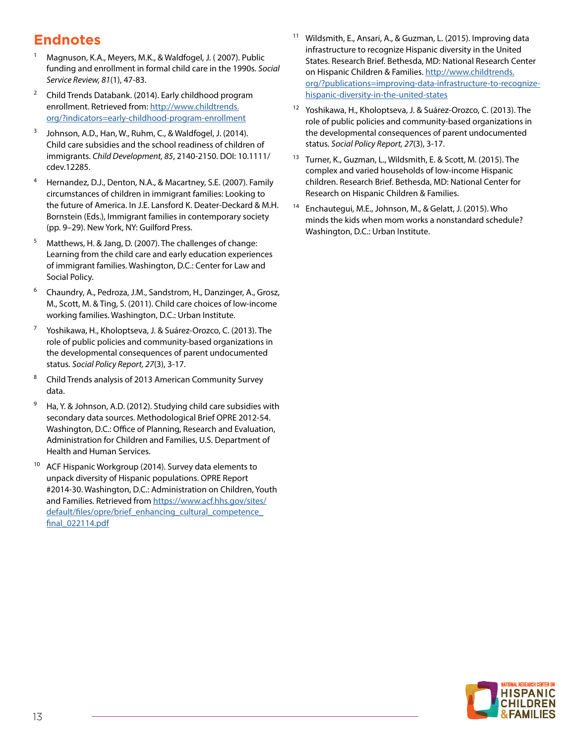## **Endnotes**

- <sup>1</sup> Magnuson, K.A., Meyers, M.K., & Waldfogel, J. (2007). Public funding and enrollment in formal child care in the 1990s. *Social Service Review, 81*(1), 47-83.
- <sup>2</sup> Child Trends Databank. (2014). Early childhood program enrollment. Retrieved from: [http://www.childtrends.](http://www.childtrends.org/?indicators=early-childhood-program-enrollment) [org/?indicators=early-childhood-program-enrollment](http://www.childtrends.org/?indicators=early-childhood-program-enrollment)
- <sup>3</sup> Johnson, A.D., Han, W., Ruhm, C., & Waldfogel, J. (2014). Child care subsidies and the school readiness of children of immigrants. *Child Development, 85*, 2140-2150. DOI: 10.1111/ cdev.12285.
- <sup>4</sup> Hernandez, D.J., Denton, N.A., & Macartney, S.E. (2007). Family circumstances of children in immigrant families: Looking to the future of America. In J.E. Lansford K. Deater-Deckard & M.H. Bornstein (Eds.), Immigrant families in contemporary society (pp. 9–29). New York, NY: Guilford Press.
- <sup>5</sup> Matthews, H. & Jang, D. (2007). The challenges of change: Learning from the child care and early education experiences of immigrant families. Washington, D.C.: Center for Law and Social Policy.
- <sup>6</sup> Chaundry, A., Pedroza, J.M., Sandstrom, H., Danzinger, A., Grosz, M., Scott, M. & Ting, S. (2011). Child care choices of low-income working families. Washington, D.C.: Urban Institute.
- <sup>7</sup> Yoshikawa, H., Kholoptseva, J. & Suárez-Orozco, C. (2013). The role of public policies and community-based organizations in the developmental consequences of parent undocumented status. *Social Policy Report, 27*(3), 3-17.
- <sup>8</sup> Child Trends analysis of 2013 American Community Survey data.
- <sup>9</sup> Ha, Y. & Johnson, A.D. (2012). Studying child care subsidies with secondary data sources. Methodological Brief OPRE 2012-54. Washington, D.C.: Office of Planning, Research and Evaluation, Administration for Children and Families, U.S. Department of Health and Human Services.
- <sup>10</sup> ACF Hispanic Workgroup (2014). Survey data elements to unpack diversity of Hispanic populations. OPRE Report #2014-30. Washington, D.C.: Administration on Children, Youth and Families. Retrieved from [https://www.acf.hhs.gov/sites/](https://www.acf.hhs.gov/sites/default/files/opre/brief_enhancing_cultural_competence_final_022114.pdf) default/files/opre/brief\_enhancing\_cultural\_competence [final\\_022114.pdf](https://www.acf.hhs.gov/sites/default/files/opre/brief_enhancing_cultural_competence_final_022114.pdf)
- Wildsmith, E., Ansari, A., & Guzman, L. (2015). Improving data infrastructure to recognize Hispanic diversity in the United States. Research Brief. Bethesda, MD: National Research Center on Hispanic Children & Families. [http://www.childtrends.](http://www.childtrends.org/?publications=improving-data-infrastructure-to-recognize-hispanic-diversity-in-the-united-states) [org/?publications=improving-data-infrastructure-to-recognize](http://www.childtrends.org/?publications=improving-data-infrastructure-to-recognize-hispanic-diversity-in-the-united-states)[hispanic-diversity-in-the-united-states](http://www.childtrends.org/?publications=improving-data-infrastructure-to-recognize-hispanic-diversity-in-the-united-states)
- <sup>12</sup> Yoshikawa, H., Kholoptseva, J. & Suárez-Orozco, C. (2013). The role of public policies and community-based organizations in the developmental consequences of parent undocumented status. *Social Policy Report, 27*(3), 3-17.
- <sup>13</sup> Turner, K., Guzman, L., Wildsmith, E. & Scott, M. (2015). The complex and varied households of low-income Hispanic children. Research Brief. Bethesda, MD: National Center for Research on Hispanic Children & Families.
- <sup>14</sup> Enchautegui, M.E., Johnson, M., & Gelatt, J. (2015). Who minds the kids when mom works a nonstandard schedule? Washington, D.C.: Urban Institute.